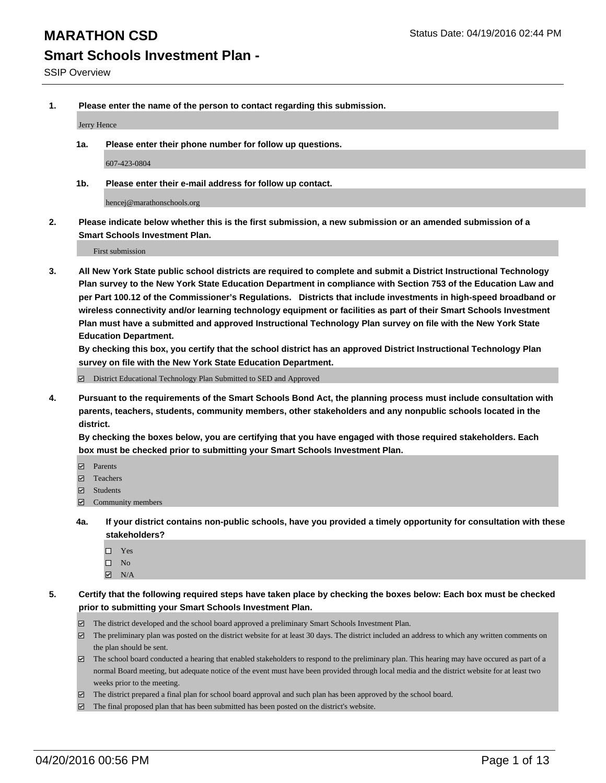**1. Please enter the name of the person to contact regarding this submission.**

Jerry Hence

**1a. Please enter their phone number for follow up questions.**

607-423-0804

**1b. Please enter their e-mail address for follow up contact.**

hencej@marathonschools.org

**2. Please indicate below whether this is the first submission, a new submission or an amended submission of a Smart Schools Investment Plan.**

First submission

**3. All New York State public school districts are required to complete and submit a District Instructional Technology Plan survey to the New York State Education Department in compliance with Section 753 of the Education Law and per Part 100.12 of the Commissioner's Regulations. Districts that include investments in high-speed broadband or wireless connectivity and/or learning technology equipment or facilities as part of their Smart Schools Investment Plan must have a submitted and approved Instructional Technology Plan survey on file with the New York State Education Department.** 

**By checking this box, you certify that the school district has an approved District Instructional Technology Plan survey on file with the New York State Education Department.**

■ District Educational Technology Plan Submitted to SED and Approved

**4. Pursuant to the requirements of the Smart Schools Bond Act, the planning process must include consultation with parents, teachers, students, community members, other stakeholders and any nonpublic schools located in the district.** 

**By checking the boxes below, you are certifying that you have engaged with those required stakeholders. Each box must be checked prior to submitting your Smart Schools Investment Plan.**

- **Parents**
- □ Teachers
- Students
- $\boxdot$  Community members
- **4a. If your district contains non-public schools, have you provided a timely opportunity for consultation with these stakeholders?**
	- □ Yes
	- $\square$  No
	- $\boxtimes$  N/A
- **5. Certify that the following required steps have taken place by checking the boxes below: Each box must be checked prior to submitting your Smart Schools Investment Plan.**
	- The district developed and the school board approved a preliminary Smart Schools Investment Plan.
	- The preliminary plan was posted on the district website for at least 30 days. The district included an address to which any written comments on the plan should be sent.
	- $\Box$  The school board conducted a hearing that enabled stakeholders to respond to the preliminary plan. This hearing may have occured as part of a normal Board meeting, but adequate notice of the event must have been provided through local media and the district website for at least two weeks prior to the meeting.
	- The district prepared a final plan for school board approval and such plan has been approved by the school board.
	- The final proposed plan that has been submitted has been posted on the district's website.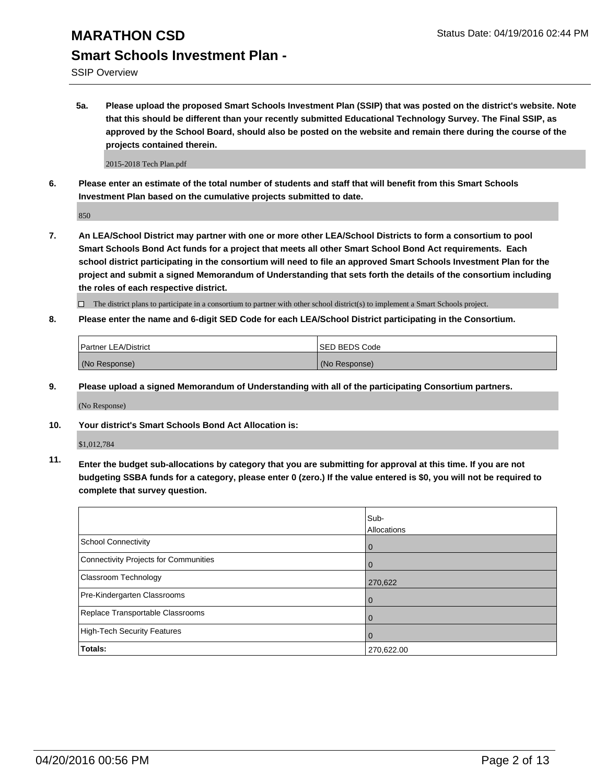SSIP Overview

**5a. Please upload the proposed Smart Schools Investment Plan (SSIP) that was posted on the district's website. Note that this should be different than your recently submitted Educational Technology Survey. The Final SSIP, as approved by the School Board, should also be posted on the website and remain there during the course of the projects contained therein.**

2015-2018 Tech Plan.pdf

**6. Please enter an estimate of the total number of students and staff that will benefit from this Smart Schools Investment Plan based on the cumulative projects submitted to date.**

850

**7. An LEA/School District may partner with one or more other LEA/School Districts to form a consortium to pool Smart Schools Bond Act funds for a project that meets all other Smart School Bond Act requirements. Each school district participating in the consortium will need to file an approved Smart Schools Investment Plan for the project and submit a signed Memorandum of Understanding that sets forth the details of the consortium including the roles of each respective district.**

 $\Box$  The district plans to participate in a consortium to partner with other school district(s) to implement a Smart Schools project.

**8. Please enter the name and 6-digit SED Code for each LEA/School District participating in the Consortium.**

| <b>Partner LEA/District</b> |  | <b>ISED BEDS Code</b> |  |
|-----------------------------|--|-----------------------|--|
| (No Response)               |  | (No Response)         |  |

**9. Please upload a signed Memorandum of Understanding with all of the participating Consortium partners.**

(No Response)

**10. Your district's Smart Schools Bond Act Allocation is:**

\$1,012,784

**11. Enter the budget sub-allocations by category that you are submitting for approval at this time. If you are not budgeting SSBA funds for a category, please enter 0 (zero.) If the value entered is \$0, you will not be required to complete that survey question.**

|                                       | Sub-<br>Allocations |
|---------------------------------------|---------------------|
| School Connectivity                   | 0                   |
| Connectivity Projects for Communities |                     |
| <b>Classroom Technology</b>           | 270,622             |
| Pre-Kindergarten Classrooms           | 0                   |
| Replace Transportable Classrooms      | 0                   |
| High-Tech Security Features           | 0                   |
| Totals:                               | 270,622.00          |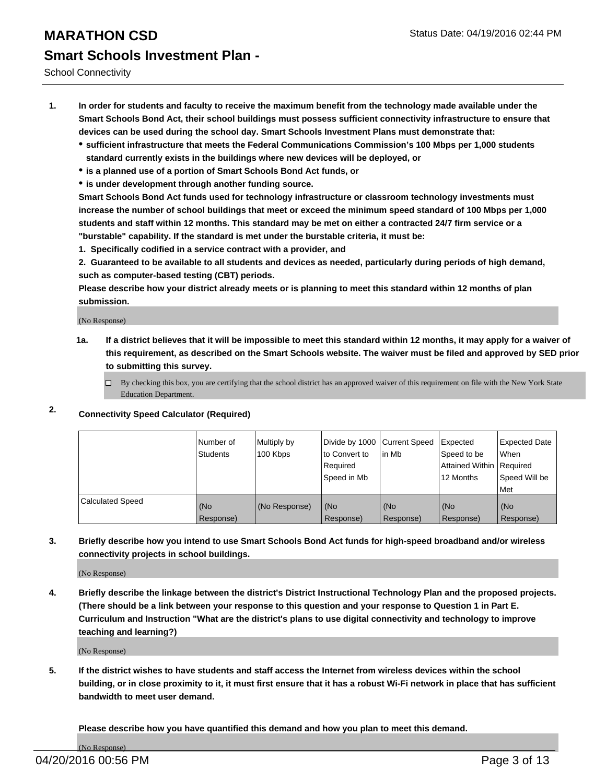School Connectivity

- **1. In order for students and faculty to receive the maximum benefit from the technology made available under the Smart Schools Bond Act, their school buildings must possess sufficient connectivity infrastructure to ensure that devices can be used during the school day. Smart Schools Investment Plans must demonstrate that:**
	- **sufficient infrastructure that meets the Federal Communications Commission's 100 Mbps per 1,000 students standard currently exists in the buildings where new devices will be deployed, or**
	- **is a planned use of a portion of Smart Schools Bond Act funds, or**
	- **is under development through another funding source.**

**Smart Schools Bond Act funds used for technology infrastructure or classroom technology investments must increase the number of school buildings that meet or exceed the minimum speed standard of 100 Mbps per 1,000 students and staff within 12 months. This standard may be met on either a contracted 24/7 firm service or a "burstable" capability. If the standard is met under the burstable criteria, it must be:**

**1. Specifically codified in a service contract with a provider, and**

**2. Guaranteed to be available to all students and devices as needed, particularly during periods of high demand, such as computer-based testing (CBT) periods.**

**Please describe how your district already meets or is planning to meet this standard within 12 months of plan submission.**

(No Response)

- **1a. If a district believes that it will be impossible to meet this standard within 12 months, it may apply for a waiver of this requirement, as described on the Smart Schools website. The waiver must be filed and approved by SED prior to submitting this survey.**
	- □ By checking this box, you are certifying that the school district has an approved waiver of this requirement on file with the New York State Education Department.
- **2. Connectivity Speed Calculator (Required)**

|                         | Number of<br>Students | Multiply by<br>100 Kbps | Divide by 1000 Current Speed<br>to Convert to<br>Reauired<br>Speed in Mb | lin Mb             | Expected<br>Speed to be<br>Attained Within   Required<br>12 Months | <b>Expected Date</b><br>l When<br>Speed Will be<br>l Met |
|-------------------------|-----------------------|-------------------------|--------------------------------------------------------------------------|--------------------|--------------------------------------------------------------------|----------------------------------------------------------|
| <b>Calculated Speed</b> | (No<br>Response)      | (No Response)           | (No<br>Response)                                                         | l (No<br>Response) | (No<br>Response)                                                   | l (No<br>Response)                                       |

### **3. Briefly describe how you intend to use Smart Schools Bond Act funds for high-speed broadband and/or wireless connectivity projects in school buildings.**

(No Response)

**4. Briefly describe the linkage between the district's District Instructional Technology Plan and the proposed projects. (There should be a link between your response to this question and your response to Question 1 in Part E. Curriculum and Instruction "What are the district's plans to use digital connectivity and technology to improve teaching and learning?)**

(No Response)

**5. If the district wishes to have students and staff access the Internet from wireless devices within the school building, or in close proximity to it, it must first ensure that it has a robust Wi-Fi network in place that has sufficient bandwidth to meet user demand.**

**Please describe how you have quantified this demand and how you plan to meet this demand.**

(No Response)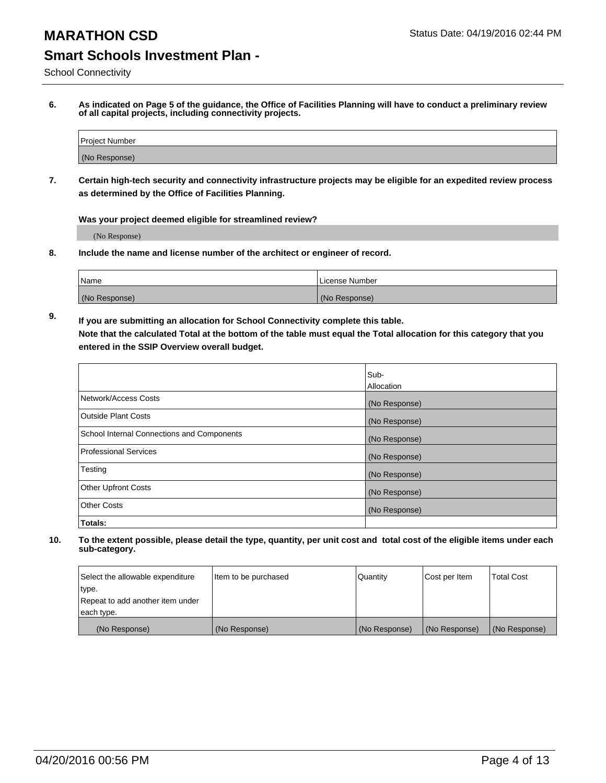School Connectivity

**6. As indicated on Page 5 of the guidance, the Office of Facilities Planning will have to conduct a preliminary review of all capital projects, including connectivity projects.**

| Project Number |  |
|----------------|--|
| (No Response)  |  |

**7. Certain high-tech security and connectivity infrastructure projects may be eligible for an expedited review process as determined by the Office of Facilities Planning.**

**Was your project deemed eligible for streamlined review?**

(No Response)

**8. Include the name and license number of the architect or engineer of record.**

| <sup>1</sup> Name | l License Number |
|-------------------|------------------|
| (No Response)     | (No Response)    |

**9. If you are submitting an allocation for School Connectivity complete this table. Note that the calculated Total at the bottom of the table must equal the Total allocation for this category that you entered in the SSIP Overview overall budget.** 

|                                            | Sub-          |
|--------------------------------------------|---------------|
|                                            | Allocation    |
| Network/Access Costs                       | (No Response) |
| <b>Outside Plant Costs</b>                 | (No Response) |
| School Internal Connections and Components | (No Response) |
| <b>Professional Services</b>               | (No Response) |
| Testing                                    | (No Response) |
| <b>Other Upfront Costs</b>                 | (No Response) |
| <b>Other Costs</b>                         | (No Response) |
| Totals:                                    |               |

| Select the allowable expenditure | Item to be purchased | Quantity      | Cost per Item | Total Cost    |
|----------------------------------|----------------------|---------------|---------------|---------------|
| type.                            |                      |               |               |               |
| Repeat to add another item under |                      |               |               |               |
| each type.                       |                      |               |               |               |
| (No Response)                    | (No Response)        | (No Response) | (No Response) | (No Response) |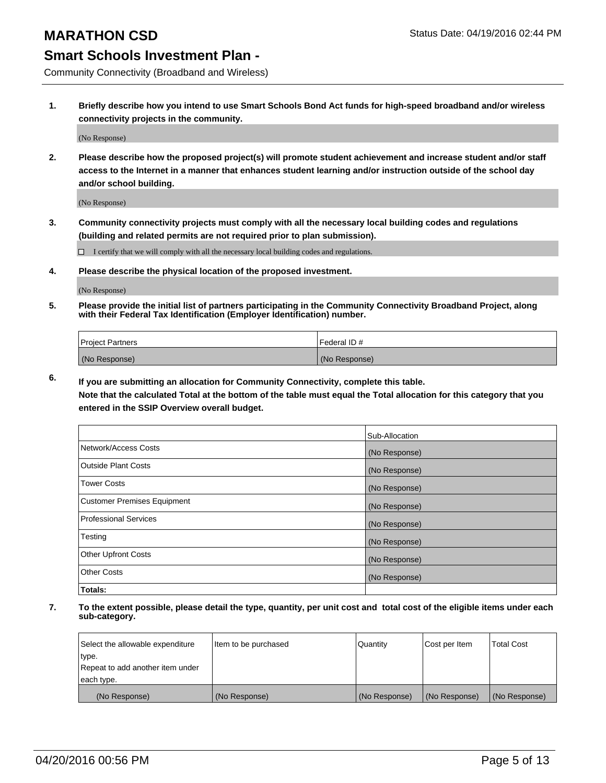Community Connectivity (Broadband and Wireless)

**1. Briefly describe how you intend to use Smart Schools Bond Act funds for high-speed broadband and/or wireless connectivity projects in the community.**

(No Response)

**2. Please describe how the proposed project(s) will promote student achievement and increase student and/or staff access to the Internet in a manner that enhances student learning and/or instruction outside of the school day and/or school building.**

(No Response)

**3. Community connectivity projects must comply with all the necessary local building codes and regulations (building and related permits are not required prior to plan submission).**

 $\Box$  I certify that we will comply with all the necessary local building codes and regulations.

**4. Please describe the physical location of the proposed investment.**

(No Response)

**5. Please provide the initial list of partners participating in the Community Connectivity Broadband Project, along with their Federal Tax Identification (Employer Identification) number.**

| <b>Project Partners</b> | Federal ID#   |
|-------------------------|---------------|
| (No Response)           | (No Response) |

**6. If you are submitting an allocation for Community Connectivity, complete this table.**

**Note that the calculated Total at the bottom of the table must equal the Total allocation for this category that you entered in the SSIP Overview overall budget.**

|                                    | Sub-Allocation |
|------------------------------------|----------------|
| Network/Access Costs               | (No Response)  |
| Outside Plant Costs                | (No Response)  |
| <b>Tower Costs</b>                 | (No Response)  |
| <b>Customer Premises Equipment</b> | (No Response)  |
| Professional Services              | (No Response)  |
| Testing                            | (No Response)  |
| <b>Other Upfront Costs</b>         | (No Response)  |
| Other Costs                        | (No Response)  |
| Totals:                            |                |

| Select the allowable expenditure | Item to be purchased | l Quantitv    | Cost per Item | <b>Total Cost</b> |
|----------------------------------|----------------------|---------------|---------------|-------------------|
| type.                            |                      |               |               |                   |
| Repeat to add another item under |                      |               |               |                   |
| each type.                       |                      |               |               |                   |
| (No Response)                    | (No Response)        | (No Response) | (No Response) | (No Response)     |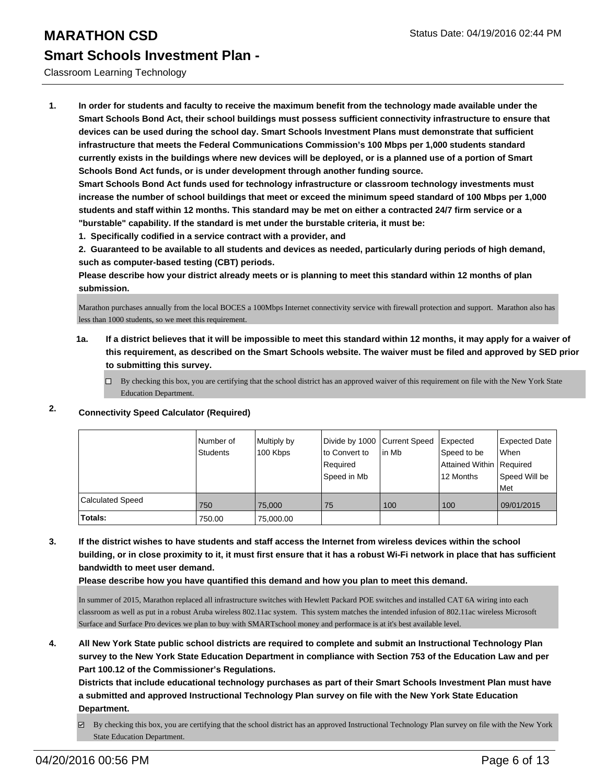### Classroom Learning Technology

**1. In order for students and faculty to receive the maximum benefit from the technology made available under the Smart Schools Bond Act, their school buildings must possess sufficient connectivity infrastructure to ensure that devices can be used during the school day. Smart Schools Investment Plans must demonstrate that sufficient infrastructure that meets the Federal Communications Commission's 100 Mbps per 1,000 students standard currently exists in the buildings where new devices will be deployed, or is a planned use of a portion of Smart Schools Bond Act funds, or is under development through another funding source.**

**Smart Schools Bond Act funds used for technology infrastructure or classroom technology investments must increase the number of school buildings that meet or exceed the minimum speed standard of 100 Mbps per 1,000 students and staff within 12 months. This standard may be met on either a contracted 24/7 firm service or a "burstable" capability. If the standard is met under the burstable criteria, it must be:**

**1. Specifically codified in a service contract with a provider, and**

**2. Guaranteed to be available to all students and devices as needed, particularly during periods of high demand, such as computer-based testing (CBT) periods.**

**Please describe how your district already meets or is planning to meet this standard within 12 months of plan submission.**

Marathon purchases annually from the local BOCES a 100Mbps Internet connectivity service with firewall protection and support. Marathon also has less than 1000 students, so we meet this requirement.

## **1a. If a district believes that it will be impossible to meet this standard within 12 months, it may apply for a waiver of this requirement, as described on the Smart Schools website. The waiver must be filed and approved by SED prior to submitting this survey.**

 $\Box$  By checking this box, you are certifying that the school district has an approved waiver of this requirement on file with the New York State Education Department.

|                         | Number of<br><b>Students</b> | Multiply by<br>100 Kbps | Divide by 1000 Current Speed<br>to Convert to<br>Required<br>Speed in Mb | l in Mb | Expected<br>Speed to be<br>Attained Within   Required<br>12 Months | <b>Expected Date</b><br><b>When</b><br>Speed Will be<br>l Met |
|-------------------------|------------------------------|-------------------------|--------------------------------------------------------------------------|---------|--------------------------------------------------------------------|---------------------------------------------------------------|
| <b>Calculated Speed</b> | 750                          | 75.000                  | 75                                                                       | 100     | 100                                                                | 09/01/2015                                                    |
| Totals:                 | 750.00                       | 75,000.00               |                                                                          |         |                                                                    |                                                               |

## **2. Connectivity Speed Calculator (Required)**

**3. If the district wishes to have students and staff access the Internet from wireless devices within the school building, or in close proximity to it, it must first ensure that it has a robust Wi-Fi network in place that has sufficient bandwidth to meet user demand.**

**Please describe how you have quantified this demand and how you plan to meet this demand.**

In summer of 2015, Marathon replaced all infrastructure switches with Hewlett Packard POE switches and installed CAT 6A wiring into each classroom as well as put in a robust Aruba wireless 802.11ac system. This system matches the intended infusion of 802.11ac wireless Microsoft Surface and Surface Pro devices we plan to buy with SMARTschool money and performace is at it's best available level.

**4. All New York State public school districts are required to complete and submit an Instructional Technology Plan survey to the New York State Education Department in compliance with Section 753 of the Education Law and per Part 100.12 of the Commissioner's Regulations.**

**Districts that include educational technology purchases as part of their Smart Schools Investment Plan must have a submitted and approved Instructional Technology Plan survey on file with the New York State Education Department.**

By checking this box, you are certifying that the school district has an approved Instructional Technology Plan survey on file with the New York State Education Department.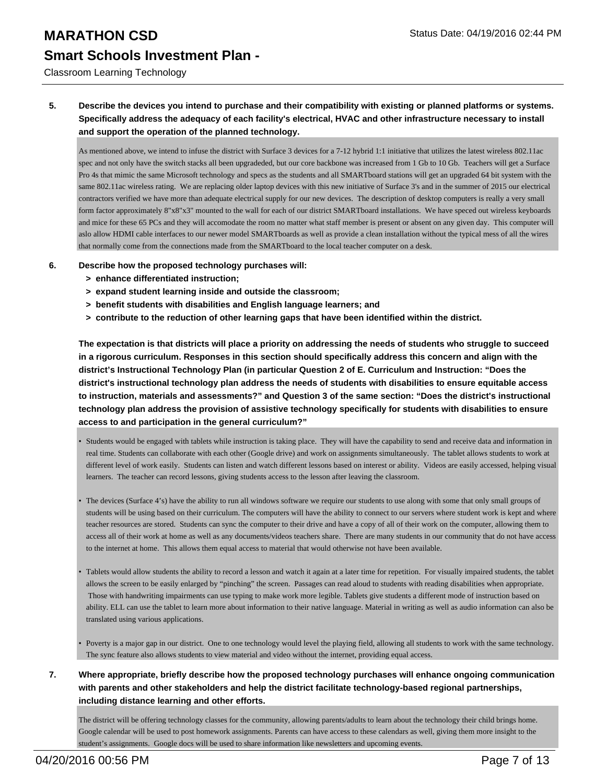#### Classroom Learning Technology

## **5. Describe the devices you intend to purchase and their compatibility with existing or planned platforms or systems. Specifically address the adequacy of each facility's electrical, HVAC and other infrastructure necessary to install and support the operation of the planned technology.**

As mentioned above, we intend to infuse the district with Surface 3 devices for a 7-12 hybrid 1:1 initiative that utilizes the latest wireless 802.11ac spec and not only have the switch stacks all been upgradeded, but our core backbone was increased from 1 Gb to 10 Gb. Teachers will get a Surface Pro 4s that mimic the same Microsoft technology and specs as the students and all SMARTboard stations will get an upgraded 64 bit system with the same 802.11ac wireless rating. We are replacing older laptop devices with this new initiative of Surface 3's and in the summer of 2015 our electrical contractors verified we have more than adequate electrical supply for our new devices. The description of desktop computers is really a very small form factor approximately 8"x8"x3" mounted to the wall for each of our district SMARTboard installations. We have speced out wireless keyboards and mice for these 65 PCs and they will accomodate the room no matter what staff member is present or absent on any given day. This computer will aslo allow HDMI cable interfaces to our newer model SMARTboards as well as provide a clean installation without the typical mess of all the wires that normally come from the connections made from the SMARTboard to the local teacher computer on a desk.

#### **6. Describe how the proposed technology purchases will:**

- **> enhance differentiated instruction;**
- **> expand student learning inside and outside the classroom;**
- **> benefit students with disabilities and English language learners; and**
- **> contribute to the reduction of other learning gaps that have been identified within the district.**

**The expectation is that districts will place a priority on addressing the needs of students who struggle to succeed in a rigorous curriculum. Responses in this section should specifically address this concern and align with the district's Instructional Technology Plan (in particular Question 2 of E. Curriculum and Instruction: "Does the district's instructional technology plan address the needs of students with disabilities to ensure equitable access to instruction, materials and assessments?" and Question 3 of the same section: "Does the district's instructional technology plan address the provision of assistive technology specifically for students with disabilities to ensure access to and participation in the general curriculum?"**

- Students would be engaged with tablets while instruction is taking place. They will have the capability to send and receive data and information in real time. Students can collaborate with each other (Google drive) and work on assignments simultaneously. The tablet allows students to work at different level of work easily. Students can listen and watch different lessons based on interest or ability. Videos are easily accessed, helping visual learners. The teacher can record lessons, giving students access to the lesson after leaving the classroom.
- The devices (Surface 4's) have the ability to run all windows software we require our students to use along with some that only small groups of students will be using based on their curriculum. The computers will have the ability to connect to our servers where student work is kept and where teacher resources are stored. Students can sync the computer to their drive and have a copy of all of their work on the computer, allowing them to access all of their work at home as well as any documents/videos teachers share. There are many students in our community that do not have access to the internet at home. This allows them equal access to material that would otherwise not have been available. •
- Tablets would allow students the ability to record a lesson and watch it again at a later time for repetition. For visually impaired students, the tablet allows the screen to be easily enlarged by "pinching" the screen. Passages can read aloud to students with reading disabilities when appropriate. Those with handwriting impairments can use typing to make work more legible. Tablets give students a different mode of instruction based on ability. ELL can use the tablet to learn more about information to their native language. Material in writing as well as audio information can also be translated using various applications.
- Poverty is a major gap in our district. One to one technology would level the playing field, allowing all students to work with the same technology. The sync feature also allows students to view material and video without the internet, providing equal access.
- **7. Where appropriate, briefly describe how the proposed technology purchases will enhance ongoing communication with parents and other stakeholders and help the district facilitate technology-based regional partnerships, including distance learning and other efforts.**

The district will be offering technology classes for the community, allowing parents/adults to learn about the technology their child brings home. Google calendar will be used to post homework assignments. Parents can have access to these calendars as well, giving them more insight to the student's assignments. Google docs will be used to share information like newsletters and upcoming events.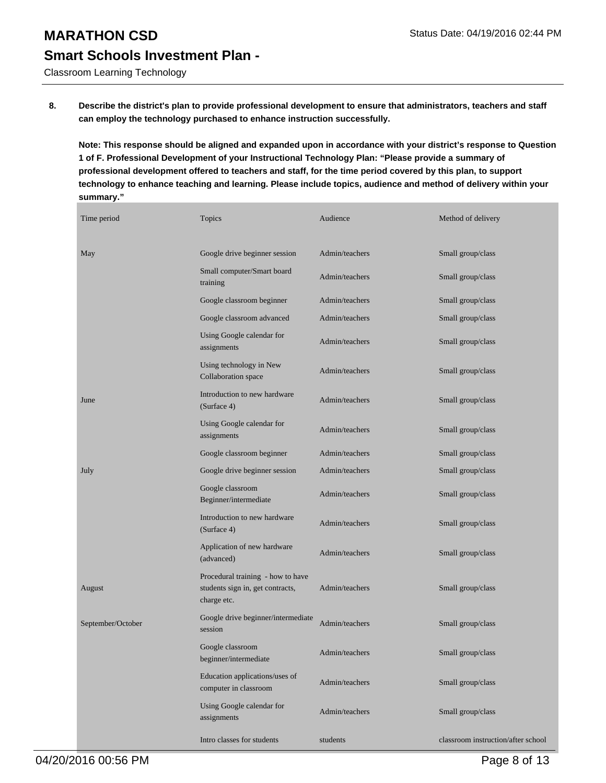Classroom Learning Technology

**8. Describe the district's plan to provide professional development to ensure that administrators, teachers and staff can employ the technology purchased to enhance instruction successfully.**

**Note: This response should be aligned and expanded upon in accordance with your district's response to Question 1 of F. Professional Development of your Instructional Technology Plan: "Please provide a summary of professional development offered to teachers and staff, for the time period covered by this plan, to support technology to enhance teaching and learning. Please include topics, audience and method of delivery within your summary."**

| Time period       | Topics                                                                               | Audience       | Method of delivery                 |
|-------------------|--------------------------------------------------------------------------------------|----------------|------------------------------------|
| May               | Google drive beginner session                                                        | Admin/teachers | Small group/class                  |
|                   | Small computer/Smart board<br>training                                               | Admin/teachers | Small group/class                  |
|                   | Google classroom beginner                                                            | Admin/teachers | Small group/class                  |
|                   | Google classroom advanced                                                            | Admin/teachers | Small group/class                  |
|                   | Using Google calendar for<br>assignments                                             | Admin/teachers | Small group/class                  |
|                   | Using technology in New<br>Collaboration space                                       | Admin/teachers | Small group/class                  |
| June              | Introduction to new hardware<br>(Surface 4)                                          | Admin/teachers | Small group/class                  |
|                   | Using Google calendar for<br>assignments                                             | Admin/teachers | Small group/class                  |
|                   | Google classroom beginner                                                            | Admin/teachers | Small group/class                  |
| July              | Google drive beginner session                                                        | Admin/teachers | Small group/class                  |
|                   | Google classroom<br>Beginner/intermediate                                            | Admin/teachers | Small group/class                  |
|                   | Introduction to new hardware<br>(Surface 4)                                          | Admin/teachers | Small group/class                  |
|                   | Application of new hardware<br>(advanced)                                            | Admin/teachers | Small group/class                  |
| August            | Procedural training - how to have<br>students sign in, get contracts,<br>charge etc. | Admin/teachers | Small group/class                  |
| September/October | Google drive beginner/intermediate<br>session                                        | Admin/teachers | Small group/class                  |
|                   | Google classroom<br>beginner/intermediate                                            | Admin/teachers | Small group/class                  |
|                   | Education applications/uses of<br>computer in classroom                              | Admin/teachers | Small group/class                  |
|                   | Using Google calendar for<br>assignments                                             | Admin/teachers | Small group/class                  |
|                   | Intro classes for students                                                           | students       | classroom instruction/after school |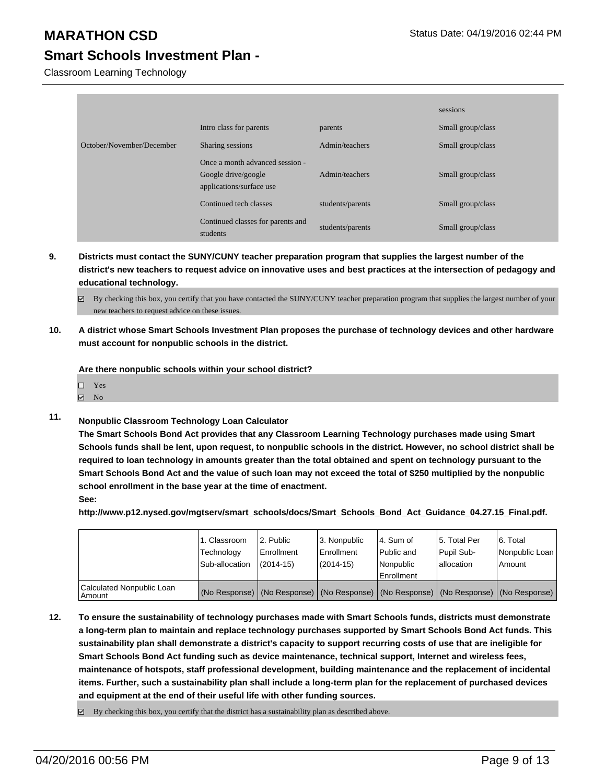Classroom Learning Technology

|                           |                                                                                    |                  | sessions          |
|---------------------------|------------------------------------------------------------------------------------|------------------|-------------------|
|                           | Intro class for parents                                                            | parents          | Small group/class |
| October/November/December | Sharing sessions                                                                   | Admin/teachers   | Small group/class |
|                           | Once a month advanced session -<br>Google drive/google<br>applications/surface use | Admin/teachers   | Small group/class |
|                           | Continued tech classes                                                             | students/parents | Small group/class |
|                           | Continued classes for parents and<br>students                                      | students/parents | Small group/class |

- **9. Districts must contact the SUNY/CUNY teacher preparation program that supplies the largest number of the district's new teachers to request advice on innovative uses and best practices at the intersection of pedagogy and educational technology.**
	- By checking this box, you certify that you have contacted the SUNY/CUNY teacher preparation program that supplies the largest number of your new teachers to request advice on these issues.
- **10. A district whose Smart Schools Investment Plan proposes the purchase of technology devices and other hardware must account for nonpublic schools in the district.**

**Are there nonpublic schools within your school district?**

| $\square$ Yes  |  |  |  |  |  |  |
|----------------|--|--|--|--|--|--|
| $\boxtimes$ No |  |  |  |  |  |  |

**11. Nonpublic Classroom Technology Loan Calculator**

**The Smart Schools Bond Act provides that any Classroom Learning Technology purchases made using Smart Schools funds shall be lent, upon request, to nonpublic schools in the district. However, no school district shall be required to loan technology in amounts greater than the total obtained and spent on technology pursuant to the Smart Schools Bond Act and the value of such loan may not exceed the total of \$250 multiplied by the nonpublic school enrollment in the base year at the time of enactment.**

**See:**

**http://www.p12.nysed.gov/mgtserv/smart\_schools/docs/Smart\_Schools\_Bond\_Act\_Guidance\_04.27.15\_Final.pdf.**

|                                         | 1. Classroom<br>Technology<br>Sub-allocation | 2. Public<br>Enrollment<br>$(2014 - 15)$ | 3. Nonpublic<br>Enrollment<br>(2014-15) | l 4. Sum of<br>l Public and<br>l Nonpublic<br>Enrollment                                      | 15. Total Per<br>Pupil Sub-<br>Iallocation | 6. Total<br>Nonpublic Loan  <br>Amount |
|-----------------------------------------|----------------------------------------------|------------------------------------------|-----------------------------------------|-----------------------------------------------------------------------------------------------|--------------------------------------------|----------------------------------------|
| Calculated Nonpublic Loan<br>l Amount i |                                              |                                          |                                         | (No Response)   (No Response)   (No Response)   (No Response)   (No Response)   (No Response) |                                            |                                        |

**12. To ensure the sustainability of technology purchases made with Smart Schools funds, districts must demonstrate a long-term plan to maintain and replace technology purchases supported by Smart Schools Bond Act funds. This sustainability plan shall demonstrate a district's capacity to support recurring costs of use that are ineligible for Smart Schools Bond Act funding such as device maintenance, technical support, Internet and wireless fees, maintenance of hotspots, staff professional development, building maintenance and the replacement of incidental items. Further, such a sustainability plan shall include a long-term plan for the replacement of purchased devices and equipment at the end of their useful life with other funding sources.**

 $\boxdot$  By checking this box, you certify that the district has a sustainability plan as described above.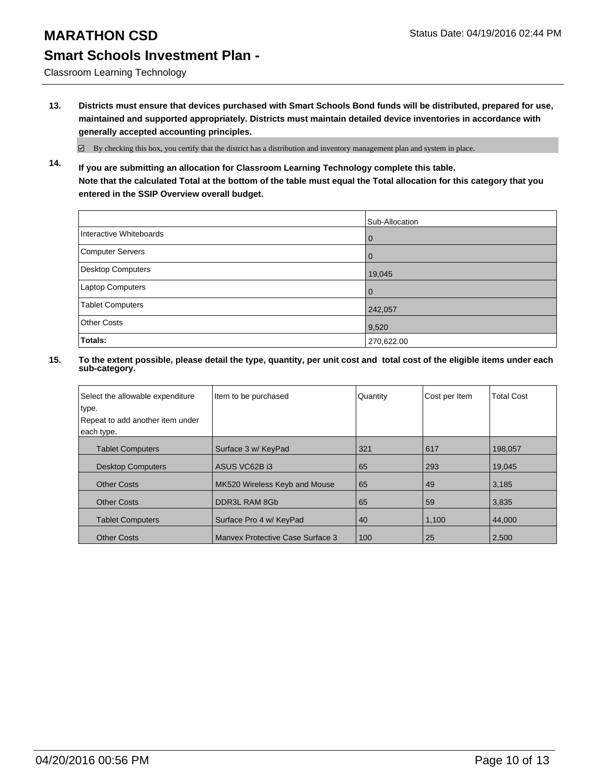Classroom Learning Technology

**13. Districts must ensure that devices purchased with Smart Schools Bond funds will be distributed, prepared for use, maintained and supported appropriately. Districts must maintain detailed device inventories in accordance with generally accepted accounting principles.**

 $\boxtimes$  By checking this box, you certify that the district has a distribution and inventory management plan and system in place.

**14. If you are submitting an allocation for Classroom Learning Technology complete this table. Note that the calculated Total at the bottom of the table must equal the Total allocation for this category that you entered in the SSIP Overview overall budget.**

|                         | Sub-Allocation |
|-------------------------|----------------|
| Interactive Whiteboards | l 0            |
| Computer Servers        | l 0            |
| Desktop Computers       | 19,045         |
| Laptop Computers        | l 0            |
| Tablet Computers        | 242,057        |
| <b>Other Costs</b>      | 9,520          |
| Totals:                 | 270,622.00     |

| Select the allowable expenditure<br>type. | Item to be purchased             | Quantity | Cost per Item | <b>Total Cost</b> |
|-------------------------------------------|----------------------------------|----------|---------------|-------------------|
| Repeat to add another item under          |                                  |          |               |                   |
| each type.                                |                                  |          |               |                   |
| <b>Tablet Computers</b>                   | Surface 3 w/ KeyPad              | 321      | 617           | 198.057           |
| <b>Desktop Computers</b>                  | ASUS VC62B i3                    | 65       | 293           | 19,045            |
| <b>Other Costs</b>                        | MK520 Wireless Keyb and Mouse    | 65       | 49            | 3,185             |
| <b>Other Costs</b>                        | DDR3L RAM 8Gb                    | 65       | 59            | 3,835             |
| <b>Tablet Computers</b>                   | Surface Pro 4 w/ KeyPad          | 40       | 1,100         | 44,000            |
| <b>Other Costs</b>                        | Manyex Protective Case Surface 3 | 100      | 25            | 2,500             |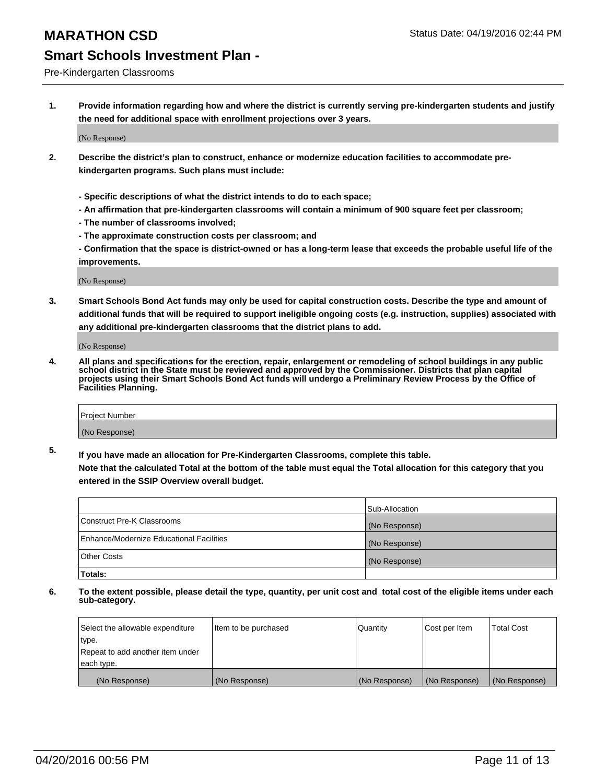#### Pre-Kindergarten Classrooms

**1. Provide information regarding how and where the district is currently serving pre-kindergarten students and justify the need for additional space with enrollment projections over 3 years.**

(No Response)

- **2. Describe the district's plan to construct, enhance or modernize education facilities to accommodate prekindergarten programs. Such plans must include:**
	- **Specific descriptions of what the district intends to do to each space;**
	- **An affirmation that pre-kindergarten classrooms will contain a minimum of 900 square feet per classroom;**
	- **The number of classrooms involved;**
	- **The approximate construction costs per classroom; and**
	- **Confirmation that the space is district-owned or has a long-term lease that exceeds the probable useful life of the improvements.**

(No Response)

**3. Smart Schools Bond Act funds may only be used for capital construction costs. Describe the type and amount of additional funds that will be required to support ineligible ongoing costs (e.g. instruction, supplies) associated with any additional pre-kindergarten classrooms that the district plans to add.**

(No Response)

**4. All plans and specifications for the erection, repair, enlargement or remodeling of school buildings in any public school district in the State must be reviewed and approved by the Commissioner. Districts that plan capital projects using their Smart Schools Bond Act funds will undergo a Preliminary Review Process by the Office of Facilities Planning.**

| Project Number |  |
|----------------|--|
| (No Response)  |  |

**5. If you have made an allocation for Pre-Kindergarten Classrooms, complete this table. Note that the calculated Total at the bottom of the table must equal the Total allocation for this category that you**

**entered in the SSIP Overview overall budget.**

|                                          | Sub-Allocation |
|------------------------------------------|----------------|
| Construct Pre-K Classrooms               | (No Response)  |
| Enhance/Modernize Educational Facilities | (No Response)  |
| Other Costs                              | (No Response)  |
| Totals:                                  |                |

| Select the allowable expenditure | Item to be purchased | Quantity      | Cost per Item | <b>Total Cost</b> |
|----------------------------------|----------------------|---------------|---------------|-------------------|
| type.                            |                      |               |               |                   |
| Repeat to add another item under |                      |               |               |                   |
| each type.                       |                      |               |               |                   |
| (No Response)                    | (No Response)        | (No Response) | (No Response) | (No Response)     |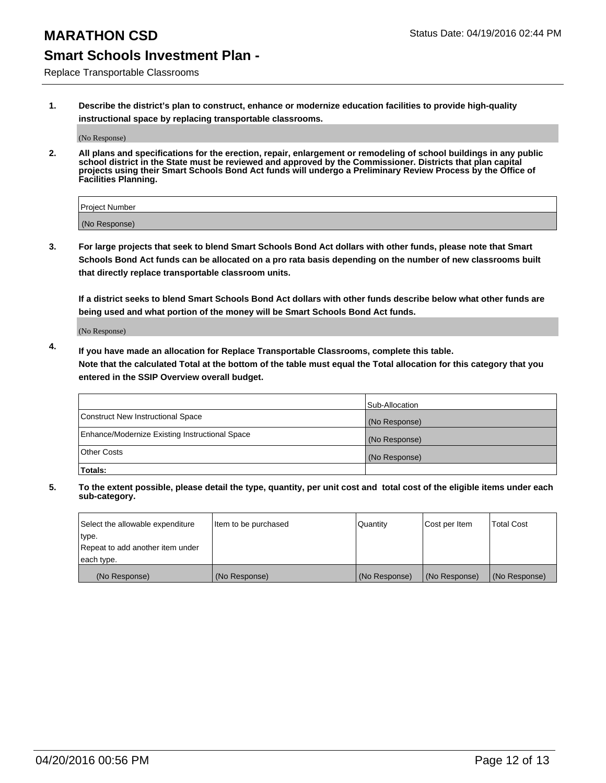Replace Transportable Classrooms

**1. Describe the district's plan to construct, enhance or modernize education facilities to provide high-quality instructional space by replacing transportable classrooms.**

(No Response)

**2. All plans and specifications for the erection, repair, enlargement or remodeling of school buildings in any public school district in the State must be reviewed and approved by the Commissioner. Districts that plan capital projects using their Smart Schools Bond Act funds will undergo a Preliminary Review Process by the Office of Facilities Planning.**

| Project Number |  |
|----------------|--|
| (No Response)  |  |

**3. For large projects that seek to blend Smart Schools Bond Act dollars with other funds, please note that Smart Schools Bond Act funds can be allocated on a pro rata basis depending on the number of new classrooms built that directly replace transportable classroom units.**

**If a district seeks to blend Smart Schools Bond Act dollars with other funds describe below what other funds are being used and what portion of the money will be Smart Schools Bond Act funds.**

(No Response)

**4. If you have made an allocation for Replace Transportable Classrooms, complete this table. Note that the calculated Total at the bottom of the table must equal the Total allocation for this category that you entered in the SSIP Overview overall budget.**

|                                                | Sub-Allocation |
|------------------------------------------------|----------------|
| Construct New Instructional Space              | (No Response)  |
| Enhance/Modernize Existing Instructional Space | (No Response)  |
| <b>Other Costs</b>                             | (No Response)  |
| Totals:                                        |                |

| Select the allowable expenditure | Item to be purchased | <b>Quantity</b> | Cost per Item | <b>Total Cost</b> |
|----------------------------------|----------------------|-----------------|---------------|-------------------|
| type.                            |                      |                 |               |                   |
| Repeat to add another item under |                      |                 |               |                   |
| each type.                       |                      |                 |               |                   |
| (No Response)                    | (No Response)        | (No Response)   | (No Response) | (No Response)     |